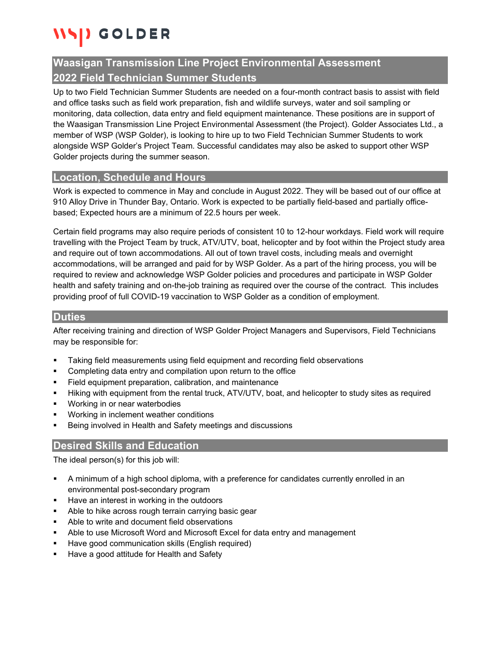# GOLDER

## **Waasigan Transmission Line Project Environmental Assessment 2022 Field Technician Summer Students**

Up to two Field Technician Summer Students are needed on a four-month contract basis to assist with field and office tasks such as field work preparation, fish and wildlife surveys, water and soil sampling or monitoring, data collection, data entry and field equipment maintenance. These positions are in support of the Waasigan Transmission Line Project Environmental Assessment (the Project). Golder Associates Ltd., a member of WSP (WSP Golder), is looking to hire up to two Field Technician Summer Students to work alongside WSP Golder's Project Team. Successful candidates may also be asked to support other WSP Golder projects during the summer season.

#### **Location, Schedule and Hours**

Work is expected to commence in May and conclude in August 2022. They will be based out of our office at 910 Alloy Drive in Thunder Bay, Ontario. Work is expected to be partially field-based and partially officebased; Expected hours are a minimum of 22.5 hours per week.

Certain field programs may also require periods of consistent 10 to 12-hour workdays. Field work will require travelling with the Project Team by truck, ATV/UTV, boat, helicopter and by foot within the Project study area and require out of town accommodations. All out of town travel costs, including meals and overnight accommodations, will be arranged and paid for by WSP Golder. As a part of the hiring process, you will be required to review and acknowledge WSP Golder policies and procedures and participate in WSP Golder health and safety training and on-the-job training as required over the course of the contract. This includes providing proof of full COVID-19 vaccination to WSP Golder as a condition of employment.

#### **Duties**

After receiving training and direction of WSP Golder Project Managers and Supervisors, Field Technicians may be responsible for:

- Taking field measurements using field equipment and recording field observations
- **•** Completing data entry and compilation upon return to the office
- **Field equipment preparation, calibration, and maintenance**
- Hiking with equipment from the rental truck, ATV/UTV, boat, and helicopter to study sites as required
- **Working in or near waterbodies**
- **Working in inclement weather conditions**
- Being involved in Health and Safety meetings and discussions

## **Desired Skills and Education**

The ideal person(s) for this job will:

- A minimum of a high school diploma, with a preference for candidates currently enrolled in an environmental post-secondary program
- Have an interest in working in the outdoors
- **Able to hike across rough terrain carrying basic gear**
- **Able to write and document field observations**
- Able to use Microsoft Word and Microsoft Excel for data entry and management
- **Have good communication skills (English required)**
- Have a good attitude for Health and Safety